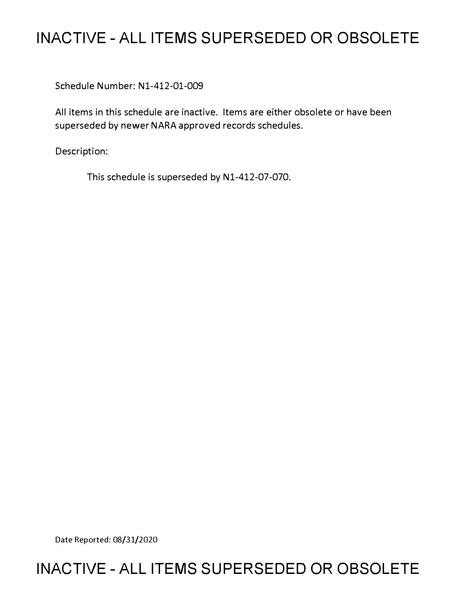# **INACTIVE - ALL ITEMS SUPERSEDED OR OBSOLETE**

Schedule Number: Nl-412-01-009

All items in this schedule are inactive. Items are either obsolete or have been superseded by newer NARA approved records schedules.

Description:

This schedule is superseded by Nl-412-07-070.

Date Reported: 08/31/2020

## **INACTIVE - ALL ITEMS SUPERSEDED OR OBSOLETE**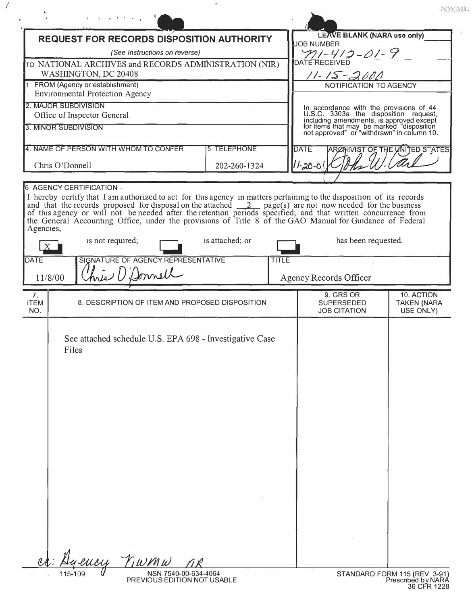| <b>REQUEST FOR RECORDS DISPOSITION AUTHORITY</b><br>(See Instructions on reverse)<br>TO NATIONAL ARCHIVES and RECORDS ADMINISTRATION (NIR)<br>WASHINGTON, DC 20408 |                                                                          |                    |              | <b>LEAVE BLANK (NARA use only)</b><br><b>JOB NUMBER</b><br>$\frac{\gamma_1-\gamma_2-\gamma_1-\gamma_2}{\text{DATE RECEIVE}}$<br>$11 - 15 - 2000$ |                                                                                                                                                                                                                         |  |                                               |  |                                                                            |  |  |  |                        |  |  |
|--------------------------------------------------------------------------------------------------------------------------------------------------------------------|--------------------------------------------------------------------------|--------------------|--------------|--------------------------------------------------------------------------------------------------------------------------------------------------|-------------------------------------------------------------------------------------------------------------------------------------------------------------------------------------------------------------------------|--|-----------------------------------------------|--|----------------------------------------------------------------------------|--|--|--|------------------------|--|--|
|                                                                                                                                                                    |                                                                          |                    |              |                                                                                                                                                  |                                                                                                                                                                                                                         |  |                                               |  | 1 FROM (Agency or establishment)<br><b>Environmental Protection Agency</b> |  |  |  | NOTIFICATION TO AGENCY |  |  |
|                                                                                                                                                                    |                                                                          |                    |              |                                                                                                                                                  |                                                                                                                                                                                                                         |  |                                               |  | 2. MAJOR SUBDIVISION<br>Office of Inspector General                        |  |  |  |                        |  |  |
|                                                                                                                                                                    | 3. MINOR SUBDIVISION                                                     |                    |              |                                                                                                                                                  | In accordance with the provisions of 44<br>U.S.C. 3303a the disposition request,<br>including amendments, is approved except<br>for items that may be marked "disposition<br>not approved" or "withdrawn" in column 10. |  |                                               |  |                                                                            |  |  |  |                        |  |  |
|                                                                                                                                                                    | 4. NAME OF PERSON WITH WHOM TO CONFER                                    | <b>5 TELEPHONE</b> |              | <b>DATE</b>                                                                                                                                      |                                                                                                                                                                                                                         |  | ARCHIVIST OF THE UNITED STATES                |  |                                                                            |  |  |  |                        |  |  |
|                                                                                                                                                                    | Chris O'Donnell                                                          | 202-260-1324       |              | 11-20-01                                                                                                                                         |                                                                                                                                                                                                                         |  |                                               |  |                                                                            |  |  |  |                        |  |  |
|                                                                                                                                                                    | 6 AGENCY CERTIFICATION .                                                 |                    |              |                                                                                                                                                  |                                                                                                                                                                                                                         |  |                                               |  |                                                                            |  |  |  |                        |  |  |
| <b>DATE</b><br>11/8/00                                                                                                                                             | is not required;<br>SIGNATURE OF AGENCY REPRESENTATIVE<br>hris O'Donnell | is attached; or    | <b>TITLE</b> |                                                                                                                                                  | has been requested.<br><b>Agency Records Officer</b>                                                                                                                                                                    |  |                                               |  |                                                                            |  |  |  |                        |  |  |
| 7 <sub>1</sub><br><b>ITEM</b><br>NO.                                                                                                                               | 8. DESCRIPTION OF ITEM AND PROPOSED DISPOSITION                          |                    |              |                                                                                                                                                  | 9. GRS OR<br><b>SUPERSEDED</b><br><b>JOB CITATION</b>                                                                                                                                                                   |  | 10. ACTION<br><b>TAKEN (NARA</b><br>USE ONLY) |  |                                                                            |  |  |  |                        |  |  |
|                                                                                                                                                                    | See attached schedule U.S. EPA 698 - Investigative Case<br>Files         |                    |              |                                                                                                                                                  |                                                                                                                                                                                                                         |  |                                               |  |                                                                            |  |  |  |                        |  |  |
|                                                                                                                                                                    |                                                                          |                    |              |                                                                                                                                                  |                                                                                                                                                                                                                         |  |                                               |  |                                                                            |  |  |  |                        |  |  |
|                                                                                                                                                                    | ency nwmw                                                                |                    |              |                                                                                                                                                  |                                                                                                                                                                                                                         |  |                                               |  |                                                                            |  |  |  |                        |  |  |

*I* 

36 CFR 1228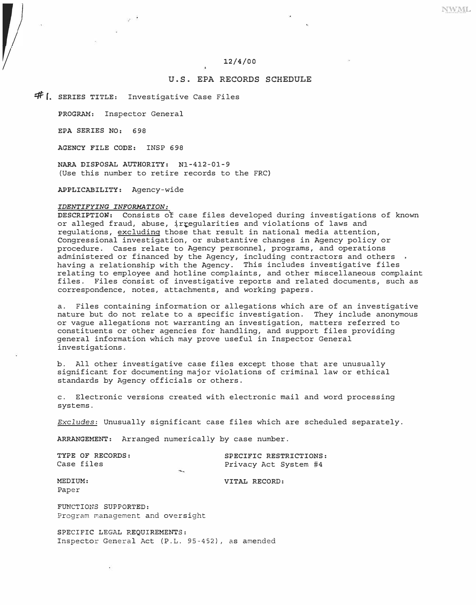# *1/* 12/4/00

### U.S. EPA RECORDS SCHEDULE

**#1.** SERIES TITLE: Investigative Case Files

PROGRAM: Inspector General

EPA SERIES NO: 698

AGENCY FILE CODE: INSP 698

NARA DISPOSAL AUTHORITY: Nl-412-01-9 (Use this number to retire records to the FRC)

APPLICABILITY: Agency-wide

#### *IDENTIFYING INFORMATION:*

DESCRIPTION: Consists of case files developed during investigations of known or alleged fraud, abuse, irregularities and violations of laws and regulations, excluding those that result in national media attention, Congressional investigation, or substantive changes in Agency policy or procedure. Cases relate to Agency personnel, programs, and operations administered or financed by the Agency, including contractors and others . having a relationship with the Agency. This includes investigative files relating to employee and hotline complaints, and other miscellaneous complaint files. Files consist of investigative reports and related documents, such as correspondence, notes, attachments, and working papers.

a. Files containing information or allegations which are of an investigative nature but do not relate to a specific investigation. They include anonymous or vague allegations not warranting an investigation, matters referred to constituents or other agencies for handling, and support files providing general information which may prove useful in Inspector General investigations.

b. All other investigative case files except those that are unusually significant for documenting major violations of criminal law or ethical standards by Agency officials or others.

c. Electronic versions created with electronic mail and word processing systems.

*Excludes:* Unusually significant case files which are scheduled separately.

**ARRANGEMENT:** Arranged numerically by case number.

|            | TYPE OF RECORDS: |                            | SPECIFIC RESTRICTIONS: |  |  |
|------------|------------------|----------------------------|------------------------|--|--|
| Case files |                  |                            | Privacy Act System #4  |  |  |
|            |                  | $\mathcal{L}_{\mathbf{G}}$ |                        |  |  |

**MEDIUM: VITAL RECORD:** 

Paper

FUNCTIONS SUPPORTED: Program management and oversight

**SPECIFIC** LEGAL **REQUIREMENTS:**  Inspector General Act (P.L. 95-452), as amended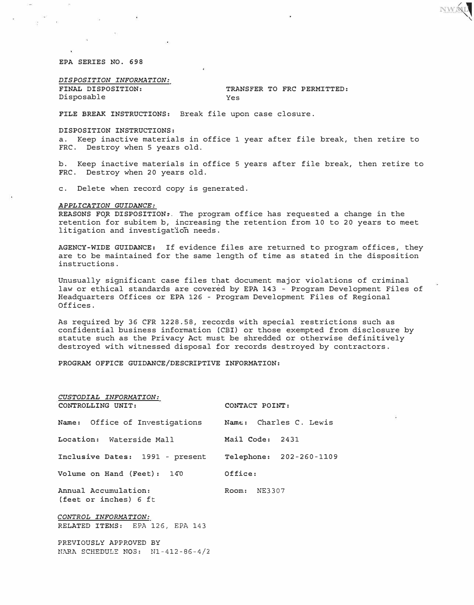*EPA SERIES NO. 698* 

*DISPOSITION INFORMATION:*  Disposable

*FINAL DISPOSITION: TRANSFER TO FRC PERMITTED:* 

NWNL

*FILE BREAK INSTRUCTIONS:* Break file upon case closure.

*DISPOSITION INSTRUCTIONS:* 

a. Keep inactive materials in office 1 year after file break, then retire to FRC. Destroy when 5 years old.

b. Keep inactive materials in office 5 years after file break, then retire to FRC. Destroy when 20 years old.

c. Delete when record copy is generated.

#### *APPLICATION GUIDANCE:*

*REASONS FQR DISPOSITION:.* The program office has requested a change in the retention for subitem b, increasing the retention from 10 to 20 years to meet litigation and investigation needs.

*AGENCY-WIDE GUIDANCE:* If evidence files are returned to program offices, they are to be maintained for the same length of time as stated in the disposition instructions.

Unusually significant case files that document major violations of criminal law or ethical standards are covered by EPA 143 - Program Development Files of Headquarters Offices or EPA 126 - Program Development Files of Regional Offices.

As required by 36 CFR 1228.58, records with special restrictions such as confidential business information (CBI) or those exempted from disclosure by statute such as the Privacy Act must be shredded or otherwise definitively destroyed with witnessed disposal for records destroyed by contractors.

*PROGRAM OFFICE GUIDANCE/DESCRIPTIVE INFORMATION:* 

| CUSTODIAL INFORMATION:<br>CONTROLLING UNIT:                | CONTACT POINT: |  |  |  |  |
|------------------------------------------------------------|----------------|--|--|--|--|
| Name: Office of Investigations Name: Charles C. Lewis      |                |  |  |  |  |
| Location: Waterside Mall Mail Code: 2431                   |                |  |  |  |  |
| Inclusive Dates: 1991 - present Telephone: 202-260-1109    |                |  |  |  |  |
| Volume on Hand (Feet): 140 0ffice:                         |                |  |  |  |  |
| Annual Accumulation:<br>(feet or inches) 6 ft              | Room: NE3307   |  |  |  |  |
| CONTROL INFORMATION:<br>RELATED ITEMS: EPA 126, EPA 143    |                |  |  |  |  |
| PREVIOUSLY APPROVED BY<br>NARA SCHEDULE NOS: N1-412-86-4/2 |                |  |  |  |  |